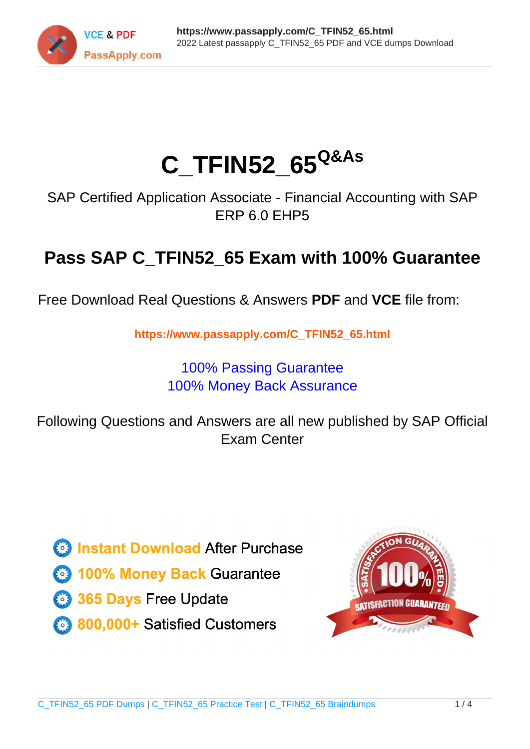

# **C\_TFIN52\_65Q&As**

SAP Certified Application Associate - Financial Accounting with SAP ERP 6.0 EHP5

## **Pass SAP C\_TFIN52\_65 Exam with 100% Guarantee**

Free Download Real Questions & Answers **PDF** and **VCE** file from:

**https://www.passapply.com/C\_TFIN52\_65.html**

### 100% Passing Guarantee 100% Money Back Assurance

Following Questions and Answers are all new published by SAP Official Exam Center

**Colonization** Download After Purchase

- **@ 100% Money Back Guarantee**
- **63 365 Days Free Update**
- 800,000+ Satisfied Customers

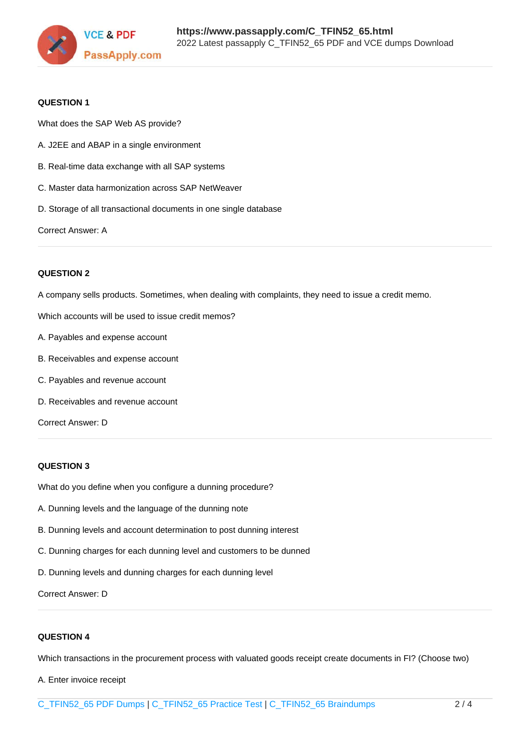

#### **QUESTION 1**

What does the SAP Web AS provide?

- A. J2EE and ABAP in a single environment
- B. Real-time data exchange with all SAP systems
- C. Master data harmonization across SAP NetWeaver
- D. Storage of all transactional documents in one single database

Correct Answer: A

#### **QUESTION 2**

A company sells products. Sometimes, when dealing with complaints, they need to issue a credit memo.

Which accounts will be used to issue credit memos?

- A. Payables and expense account
- B. Receivables and expense account
- C. Payables and revenue account
- D. Receivables and revenue account

Correct Answer: D

#### **QUESTION 3**

What do you define when you configure a dunning procedure?

- A. Dunning levels and the language of the dunning note
- B. Dunning levels and account determination to post dunning interest
- C. Dunning charges for each dunning level and customers to be dunned
- D. Dunning levels and dunning charges for each dunning level

Correct Answer: D

#### **QUESTION 4**

Which transactions in the procurement process with valuated goods receipt create documents in FI? (Choose two)

A. Enter invoice receipt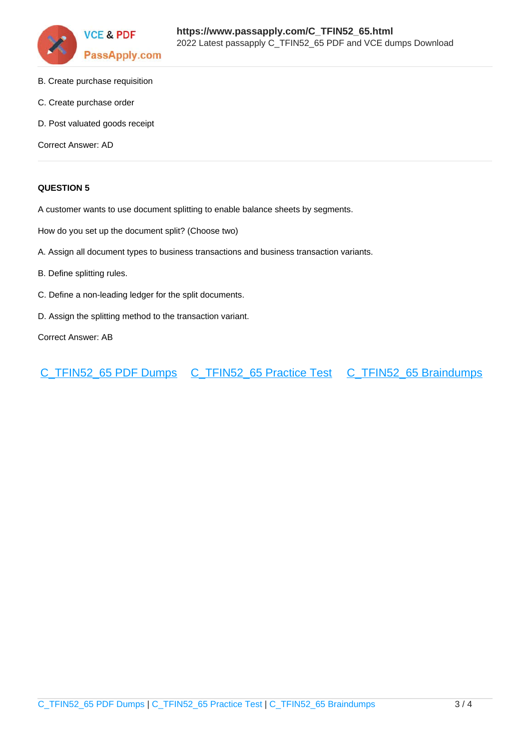

- B. Create purchase requisition
- C. Create purchase order
- D. Post valuated goods receipt

Correct Answer: AD

#### **QUESTION 5**

A customer wants to use document splitting to enable balance sheets by segments.

How do you set up the document split? (Choose two)

- A. Assign all document types to business transactions and business transaction variants.
- B. Define splitting rules.
- C. Define a non-leading ledger for the split documents.
- D. Assign the splitting method to the transaction variant.

Correct Answer: AB

[C\\_TFIN52\\_65 PDF Dumps](https://www.passapply.com/C_TFIN52_65.html) [C\\_TFIN52\\_65 Practice Test](https://www.passapply.com/C_TFIN52_65.html) [C\\_TFIN52\\_65 Braindumps](https://www.passapply.com/C_TFIN52_65.html)